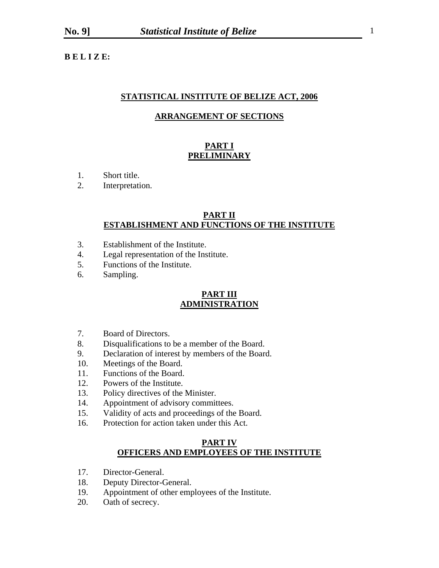**B E L I Z E:** 

### **STATISTICAL INSTITUTE OF BELIZE ACT, 2006**

#### **ARRANGEMENT OF SECTIONS**

# **PART I PRELIMINARY**

- 1. Short title.
- 2. Interpretation.

#### **PART II ESTABLISHMENT AND FUNCTIONS OF THE INSTITUTE**

- 3. Establishment of the Institute.
- 4. Legal representation of the Institute.
- 5. Functions of the Institute.
- 6. Sampling.

#### **PART III ADMINISTRATION**

- 7. Board of Directors.
- 8. Disqualifications to be a member of the Board.
- 9. Declaration of interest by members of the Board.
- 10. Meetings of the Board.
- 11. Functions of the Board.
- 12. Powers of the Institute.
- 13. Policy directives of the Minister.
- 14. Appointment of advisory committees.
- 15. Validity of acts and proceedings of the Board.
- 16. Protection for action taken under this Act.

### **PART IV OFFICERS AND EMPLOYEES OF THE INSTITUTE**

- 17. Director-General.
- 18. Deputy Director-General.
- 19. Appointment of other employees of the Institute.
- 20. Oath of secrecy.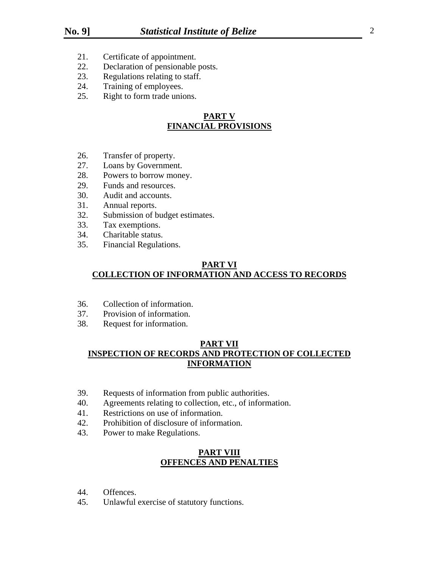- 21. Certificate of appointment.
- 22. Declaration of pensionable posts.
- 23. Regulations relating to staff.
- 24. Training of employees.
- 25. Right to form trade unions.

# **PART V FINANCIAL PROVISIONS**

- 26. Transfer of property.
- 27. Loans by Government.
- 28. Powers to borrow money.
- 29. Funds and resources.
- 30. Audit and accounts.
- 31. Annual reports.
- 32. Submission of budget estimates.
- 33. Tax exemptions.
- 34. Charitable status.
- 35. Financial Regulations.

# **PART VI COLLECTION OF INFORMATION AND ACCESS TO RECORDS**

- 36. Collection of information.
- 37. Provision of information.
- 38. Request for information.

# **PART VII INSPECTION OF RECORDS AND PROTECTION OF COLLECTED INFORMATION**

- 39. Requests of information from public authorities.
- 40. Agreements relating to collection, etc., of information.
- 41. Restrictions on use of information.
- 42. Prohibition of disclosure of information.
- 43. Power to make Regulations.

### **PART VIII OFFENCES AND PENALTIES**

- 44. Offences.
- 45. Unlawful exercise of statutory functions.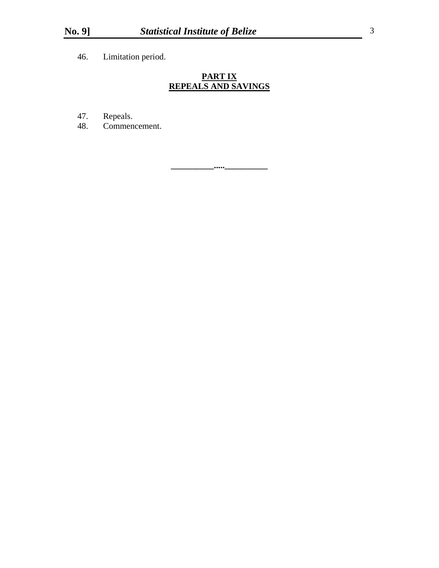46. Limitation period.

# **PART IX REPEALS AND SAVINGS**

- 47. Repeals.
- 48. Commencement.

**\_\_\_\_\_\_\_\_\_\_.....\_\_\_\_\_\_\_\_\_\_**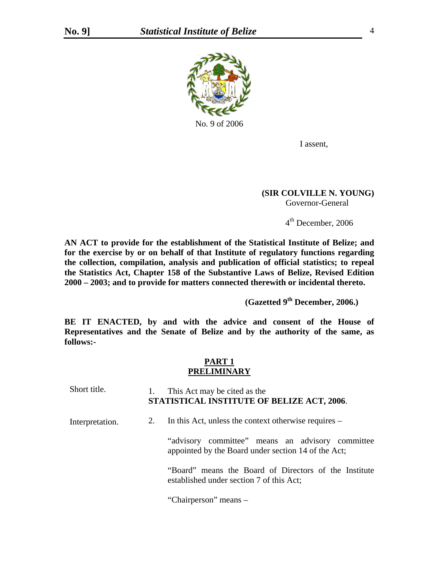

I assent,

### **(SIR COLVILLE N. YOUNG)**  Governor-General

4th December, 2006

**AN ACT to provide for the establishment of the Statistical Institute of Belize; and for the exercise by or on behalf of that Institute of regulatory functions regarding the collection, compilation, analysis and publication of official statistics; to repeal the Statistics Act, Chapter 158 of the Substantive Laws of Belize, Revised Edition 2000 – 2003; and to provide for matters connected therewith or incidental thereto.** 

**(Gazetted 9th December, 2006.)** 

**BE IT ENACTED, by and with the advice and consent of the House of Representatives and the Senate of Belize and by the authority of the same, as follows:-** 

# **PART 1 PRELIMINARY**

| Short title.    | 1. | This Act may be cited as the<br>STATISTICAL INSTITUTE OF BELIZE ACT, 2006.                              |
|-----------------|----|---------------------------------------------------------------------------------------------------------|
| Interpretation. | 2. | In this Act, unless the context otherwise requires –                                                    |
|                 |    | "advisory committee" means an advisory committee<br>appointed by the Board under section 14 of the Act; |
|                 |    | "Board" means the Board of Directors of the Institute<br>established under section 7 of this Act;       |

"Chairperson" means –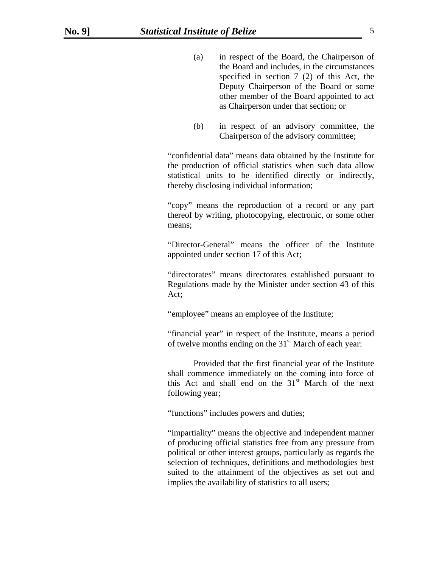- (a) in respect of the Board, the Chairperson of the Board and includes, in the circumstances specified in section 7 (2) of this Act, the Deputy Chairperson of the Board or some other member of the Board appointed to act as Chairperson under that section; or
- (b) in respect of an advisory committee, the Chairperson of the advisory committee;

"confidential data" means data obtained by the Institute for the production of official statistics when such data allow statistical units to be identified directly or indirectly, thereby disclosing individual information;

"copy" means the reproduction of a record or any part thereof by writing, photocopying, electronic, or some other means;

"Director-General" means the officer of the Institute appointed under section 17 of this Act;

"directorates" means directorates established pursuant to Regulations made by the Minister under section 43 of this Act;

"employee" means an employee of the Institute;

"financial year" in respect of the Institute, means a period of twelve months ending on the  $31<sup>st</sup>$  March of each year:

 Provided that the first financial year of the Institute shall commence immediately on the coming into force of this Act and shall end on the  $31<sup>st</sup>$  March of the next following year;

"functions" includes powers and duties;

"impartiality" means the objective and independent manner of producing official statistics free from any pressure from political or other interest groups, particularly as regards the selection of techniques, definitions and methodologies best suited to the attainment of the objectives as set out and implies the availability of statistics to all users;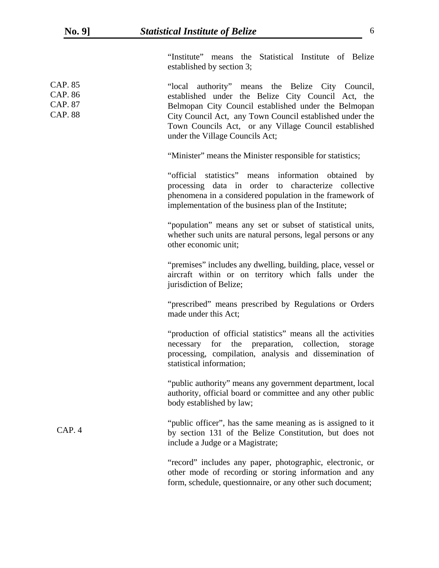"Institute" means the Statistical Institute of Belize established by section 3;

| CAP. 85<br>CAP. 86<br><b>CAP. 87</b><br><b>CAP. 88</b> | "local authority" means the Belize City Council,<br>established under the Belize City Council Act, the<br>Belmopan City Council established under the Belmopan<br>City Council Act, any Town Council established under the<br>Town Councils Act, or any Village Council established<br>under the Village Councils Act; |
|--------------------------------------------------------|------------------------------------------------------------------------------------------------------------------------------------------------------------------------------------------------------------------------------------------------------------------------------------------------------------------------|
|                                                        | "Minister" means the Minister responsible for statistics;                                                                                                                                                                                                                                                              |
|                                                        | "official statistics" means information obtained by<br>processing data in order to characterize collective<br>phenomena in a considered population in the framework of<br>implementation of the business plan of the Institute;                                                                                        |
|                                                        | "population" means any set or subset of statistical units,<br>whether such units are natural persons, legal persons or any<br>other economic unit;                                                                                                                                                                     |
|                                                        | "premises" includes any dwelling, building, place, vessel or<br>aircraft within or on territory which falls under the<br>jurisdiction of Belize;                                                                                                                                                                       |
|                                                        | "prescribed" means prescribed by Regulations or Orders<br>made under this Act;                                                                                                                                                                                                                                         |
|                                                        | "production of official statistics" means all the activities<br>necessary for the preparation, collection,<br>storage<br>processing, compilation, analysis and dissemination of<br>statistical information;                                                                                                            |
|                                                        | "public authority" means any government department, local<br>authority, official board or committee and any other public<br>body established by law;                                                                                                                                                                   |
| CAP.4                                                  | "public officer", has the same meaning as is assigned to it<br>by section 131 of the Belize Constitution, but does not<br>include a Judge or a Magistrate;                                                                                                                                                             |
|                                                        | "record" includes any paper, photographic, electronic, or<br>other mode of recording or storing information and any<br>form, schedule, questionnaire, or any other such document;                                                                                                                                      |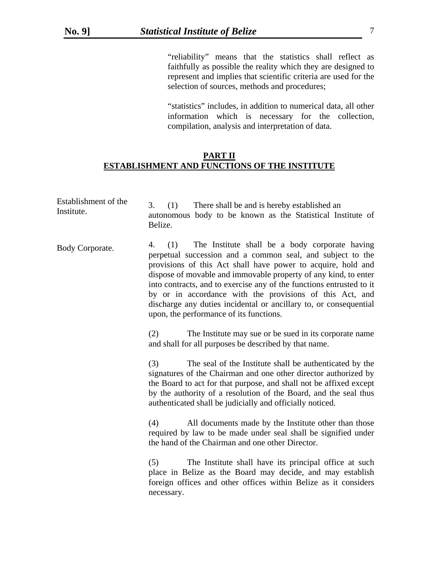"reliability" means that the statistics shall reflect as faithfully as possible the reality which they are designed to represent and implies that scientific criteria are used for the selection of sources, methods and procedures;

"statistics" includes, in addition to numerical data, all other information which is necessary for the collection, compilation, analysis and interpretation of data.

# **PART II ESTABLISHMENT AND FUNCTIONS OF THE INSTITUTE**

| Establishment of the<br>Institute. | 3.<br>(1)<br>There shall be and is hereby established an<br>autonomous body to be known as the Statistical Institute of<br>Belize.                                                                                                                                                                                                                                                                                                                                                                               |
|------------------------------------|------------------------------------------------------------------------------------------------------------------------------------------------------------------------------------------------------------------------------------------------------------------------------------------------------------------------------------------------------------------------------------------------------------------------------------------------------------------------------------------------------------------|
| Body Corporate.                    | The Institute shall be a body corporate having<br>(1)<br>4.<br>perpetual succession and a common seal, and subject to the<br>provisions of this Act shall have power to acquire, hold and<br>dispose of movable and immovable property of any kind, to enter<br>into contracts, and to exercise any of the functions entrusted to it<br>by or in accordance with the provisions of this Act, and<br>discharge any duties incidental or ancillary to, or consequential<br>upon, the performance of its functions. |
|                                    | The Institute may sue or be sued in its corporate name<br>(2)<br>and shall for all purposes be described by that name.                                                                                                                                                                                                                                                                                                                                                                                           |
|                                    | (3)<br>The seal of the Institute shall be authenticated by the<br>signatures of the Chairman and one other director authorized by<br>the Board to act for that purpose, and shall not be affixed except<br>by the authority of a resolution of the Board, and the seal thus<br>authenticated shall be judicially and officially noticed.                                                                                                                                                                         |
|                                    | (4)<br>All documents made by the Institute other than those<br>required by law to be made under seal shall be signified under<br>the hand of the Chairman and one other Director.                                                                                                                                                                                                                                                                                                                                |
|                                    | (5)<br>The Institute shall have its principal office at such<br>place in Belize as the Board may decide, and may establish<br>foreign offices and other offices within Belize as it considers<br>necessary.                                                                                                                                                                                                                                                                                                      |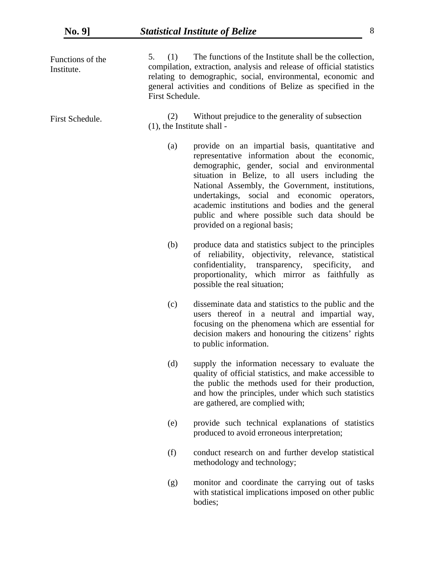| Functions of the<br>Institute. | 5.<br>(1)<br>First Schedule.         | The functions of the Institute shall be the collection,<br>compilation, extraction, analysis and release of official statistics<br>relating to demographic, social, environmental, economic and<br>general activities and conditions of Belize as specified in the                                                                                                                                                                              |
|--------------------------------|--------------------------------------|-------------------------------------------------------------------------------------------------------------------------------------------------------------------------------------------------------------------------------------------------------------------------------------------------------------------------------------------------------------------------------------------------------------------------------------------------|
| First Schedule.                | (2)<br>$(1)$ , the Institute shall - | Without prejudice to the generality of subsection                                                                                                                                                                                                                                                                                                                                                                                               |
|                                | (a)                                  | provide on an impartial basis, quantitative and<br>representative information about the economic,<br>demographic, gender, social and environmental<br>situation in Belize, to all users including the<br>National Assembly, the Government, institutions,<br>undertakings, social and economic operators,<br>academic institutions and bodies and the general<br>public and where possible such data should be<br>provided on a regional basis; |
|                                | (b)                                  | produce data and statistics subject to the principles<br>of reliability, objectivity, relevance, statistical<br>confidentiality, transparency, specificity,<br>and<br>proportionality, which mirror as faithfully as<br>possible the real situation;                                                                                                                                                                                            |
|                                | (c)                                  | disseminate data and statistics to the public and the<br>users thereof in a neutral and impartial way,<br>focusing on the phenomena which are essential for<br>decision makers and honouring the citizens' rights<br>to public information.                                                                                                                                                                                                     |
|                                | (d)                                  | supply the information necessary to evaluate the<br>quality of official statistics, and make accessible to<br>the public the methods used for their production,<br>and how the principles, under which such statistics<br>are gathered, are complied with;                                                                                                                                                                                      |
|                                | (e)                                  | provide such technical explanations of statistics<br>produced to avoid erroneous interpretation;                                                                                                                                                                                                                                                                                                                                                |
|                                | (f)                                  | conduct research on and further develop statistical<br>methodology and technology;                                                                                                                                                                                                                                                                                                                                                              |
|                                | (g)                                  | monitor and coordinate the carrying out of tasks<br>with statistical implications imposed on other public<br>bodies;                                                                                                                                                                                                                                                                                                                            |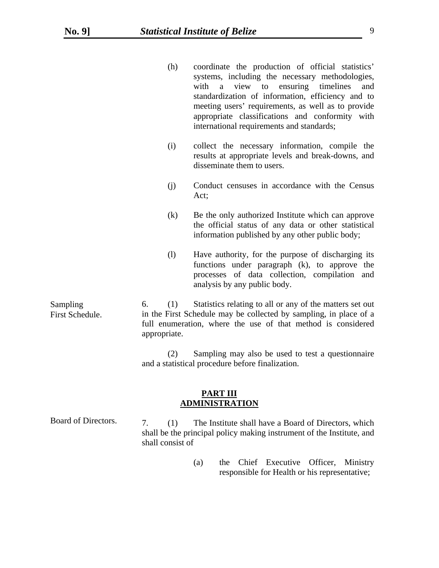|                             | (h)                          | coordinate the production of official statistics'<br>systems, including the necessary methodologies,<br>to ensuring<br>view<br>with<br>timelines<br>a<br>and<br>standardization of information, efficiency and to<br>meeting users' requirements, as well as to provide<br>appropriate classifications and conformity with<br>international requirements and standards; |
|-----------------------------|------------------------------|-------------------------------------------------------------------------------------------------------------------------------------------------------------------------------------------------------------------------------------------------------------------------------------------------------------------------------------------------------------------------|
|                             | (i)                          | collect the necessary information, compile the<br>results at appropriate levels and break-downs, and<br>disseminate them to users.                                                                                                                                                                                                                                      |
|                             | (j)                          | Conduct censuses in accordance with the Census<br>Act;                                                                                                                                                                                                                                                                                                                  |
|                             | (k)                          | Be the only authorized Institute which can approve<br>the official status of any data or other statistical<br>information published by any other public body;                                                                                                                                                                                                           |
|                             | $\left( \frac{1}{2} \right)$ | Have authority, for the purpose of discharging its<br>functions under paragraph (k), to approve the<br>processes of data collection, compilation and<br>analysis by any public body.                                                                                                                                                                                    |
| Sampling<br>First Schedule. | (1)<br>6.<br>appropriate.    | Statistics relating to all or any of the matters set out<br>in the First Schedule may be collected by sampling, in place of a<br>full enumeration, where the use of that method is considered                                                                                                                                                                           |
|                             | (2)                          | Sampling may also be used to test a questionnaire<br>and a statistical procedure before finalization.                                                                                                                                                                                                                                                                   |

# **PART III ADMINISTRATION**

| Board of Directors. | (1)              |  | The Institute shall have a Board of Directors, which                  |
|---------------------|------------------|--|-----------------------------------------------------------------------|
|                     |                  |  | shall be the principal policy making instrument of the Institute, and |
|                     | shall consist of |  |                                                                       |

(a) the Chief Executive Officer, Ministry responsible for Health or his representative;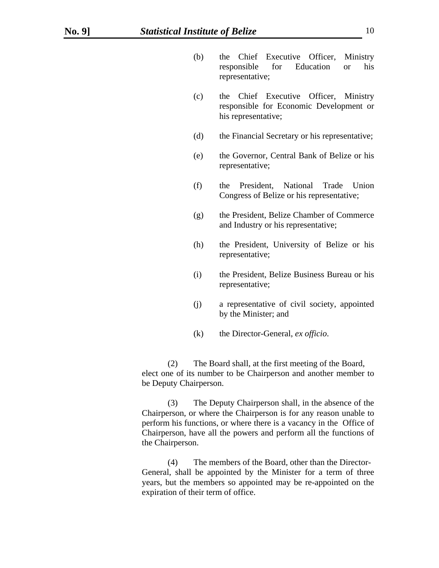- (b) the Chief Executive Officer, Ministry responsible for Education or his representative;
- (c) the Chief Executive Officer, Ministry responsible for Economic Development or his representative;
- (d) the Financial Secretary or his representative;
- (e) the Governor, Central Bank of Belize or his representative;
- (f) the President, National Trade Union Congress of Belize or his representative;
- (g) the President, Belize Chamber of Commerce and Industry or his representative;
- (h) the President, University of Belize or his representative;
- (i) the President, Belize Business Bureau or his representative;
- (j) a representative of civil society, appointed by the Minister; and
- (k) the Director-General, *ex officio*.

(2) The Board shall, at the first meeting of the Board, elect one of its number to be Chairperson and another member to be Deputy Chairperson.

 (3) The Deputy Chairperson shall, in the absence of the Chairperson, or where the Chairperson is for any reason unable to perform his functions, or where there is a vacancy in the Office of Chairperson, have all the powers and perform all the functions of the Chairperson.

(4) The members of the Board, other than the Director-General, shall be appointed by the Minister for a term of three years, but the members so appointed may be re-appointed on the expiration of their term of office.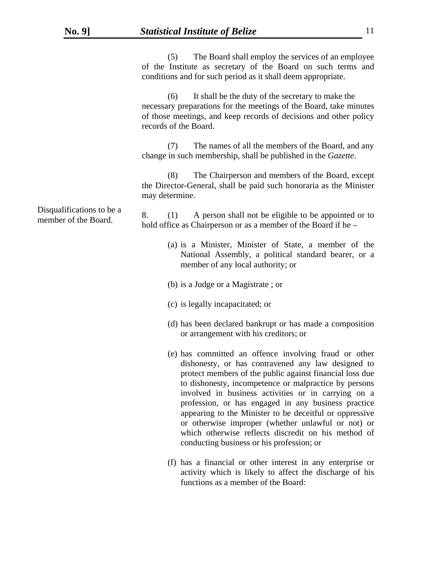|                                                   | The Board shall employ the services of an employee<br>(5)<br>of the Institute as secretary of the Board on such terms and<br>conditions and for such period as it shall deem appropriate.                                                                                                                                                                                                                                                                                                                                                                           |
|---------------------------------------------------|---------------------------------------------------------------------------------------------------------------------------------------------------------------------------------------------------------------------------------------------------------------------------------------------------------------------------------------------------------------------------------------------------------------------------------------------------------------------------------------------------------------------------------------------------------------------|
|                                                   | It shall be the duty of the secretary to make the<br>(6)<br>necessary preparations for the meetings of the Board, take minutes<br>of those meetings, and keep records of decisions and other policy<br>records of the Board.                                                                                                                                                                                                                                                                                                                                        |
|                                                   | The names of all the members of the Board, and any<br>(7)<br>change in such membership, shall be published in the Gazette.                                                                                                                                                                                                                                                                                                                                                                                                                                          |
|                                                   | (8)<br>The Chairperson and members of the Board, except<br>the Director-General, shall be paid such honoraria as the Minister<br>may determine.                                                                                                                                                                                                                                                                                                                                                                                                                     |
| Disqualifications to be a<br>member of the Board. | A person shall not be eligible to be appointed or to<br>8.<br>(1)<br>hold office as Chairperson or as a member of the Board if he –                                                                                                                                                                                                                                                                                                                                                                                                                                 |
|                                                   | (a) is a Minister, Minister of State, a member of the<br>National Assembly, a political standard bearer, or a<br>member of any local authority; or                                                                                                                                                                                                                                                                                                                                                                                                                  |
|                                                   | (b) is a Judge or a Magistrate; or                                                                                                                                                                                                                                                                                                                                                                                                                                                                                                                                  |
|                                                   | (c) is legally incapacitated; or                                                                                                                                                                                                                                                                                                                                                                                                                                                                                                                                    |
|                                                   | (d) has been declared bankrupt or has made a composition<br>or arrangement with his creditors; or                                                                                                                                                                                                                                                                                                                                                                                                                                                                   |
|                                                   | (e) has committed an offence involving fraud or other<br>dishonesty, or has contravened any law designed to<br>protect members of the public against financial loss due<br>to dishonesty, incompetence or malpractice by persons<br>involved in business activities or in carrying on a<br>profession, or has engaged in any business practice<br>appearing to the Minister to be deceitful or oppressive<br>or otherwise improper (whether unlawful or not) or<br>which otherwise reflects discredit on his method of<br>conducting business or his profession; or |
|                                                   | (f) has a financial or other interest in any enterprise or                                                                                                                                                                                                                                                                                                                                                                                                                                                                                                          |

activity which is likely to affect the discharge of his functions as a member of the Board: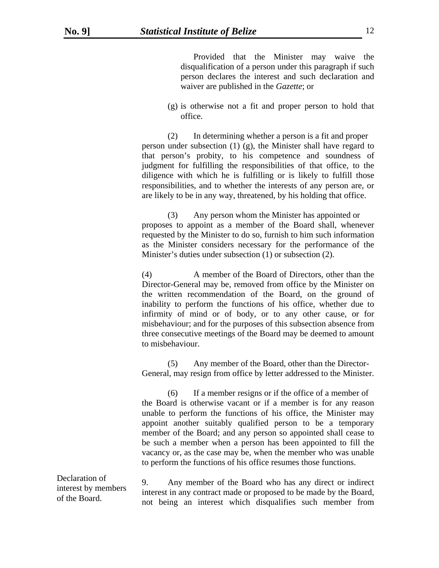Provided that the Minister may waive the disqualification of a person under this paragraph if such person declares the interest and such declaration and waiver are published in the *Gazette*; or

(g) is otherwise not a fit and proper person to hold that office.

(2) In determining whether a person is a fit and proper person under subsection (1) (g), the Minister shall have regard to that person's probity, to his competence and soundness of judgment for fulfilling the responsibilities of that office, to the diligence with which he is fulfilling or is likely to fulfill those responsibilities, and to whether the interests of any person are, or are likely to be in any way, threatened, by his holding that office.

(3) Any person whom the Minister has appointed or proposes to appoint as a member of the Board shall, whenever requested by the Minister to do so, furnish to him such information as the Minister considers necessary for the performance of the Minister's duties under subsection (1) or subsection (2).

(4) A member of the Board of Directors, other than the Director-General may be, removed from office by the Minister on the written recommendation of the Board, on the ground of inability to perform the functions of his office, whether due to infirmity of mind or of body, or to any other cause, or for misbehaviour; and for the purposes of this subsection absence from three consecutive meetings of the Board may be deemed to amount to misbehaviour.

(5) Any member of the Board, other than the Director- General, may resign from office by letter addressed to the Minister.

(6) If a member resigns or if the office of a member of the Board is otherwise vacant or if a member is for any reason unable to perform the functions of his office, the Minister may appoint another suitably qualified person to be a temporary member of the Board; and any person so appointed shall cease to be such a member when a person has been appointed to fill the vacancy or, as the case may be, when the member who was unable to perform the functions of his office resumes those functions.

Declaration of interest by members of the Board.

 9. Any member of the Board who has any direct or indirect interest in any contract made or proposed to be made by the Board, not being an interest which disqualifies such member from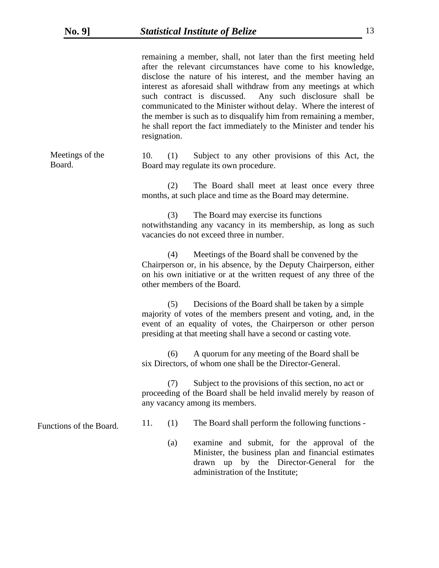|                           | remaining a member, shall, not later than the first meeting held<br>after the relevant circumstances have come to his knowledge,<br>disclose the nature of his interest, and the member having an<br>interest as aforesaid shall withdraw from any meetings at which<br>such contract is discussed. Any such disclosure shall be<br>communicated to the Minister without delay. Where the interest of<br>the member is such as to disqualify him from remaining a member,<br>he shall report the fact immediately to the Minister and tender his<br>resignation. |
|---------------------------|------------------------------------------------------------------------------------------------------------------------------------------------------------------------------------------------------------------------------------------------------------------------------------------------------------------------------------------------------------------------------------------------------------------------------------------------------------------------------------------------------------------------------------------------------------------|
| Meetings of the<br>Board. | 10.<br>(1)<br>Subject to any other provisions of this Act, the<br>Board may regulate its own procedure.                                                                                                                                                                                                                                                                                                                                                                                                                                                          |
|                           | (2)<br>The Board shall meet at least once every three<br>months, at such place and time as the Board may determine.                                                                                                                                                                                                                                                                                                                                                                                                                                              |
|                           | The Board may exercise its functions<br>(3)<br>notwithstanding any vacancy in its membership, as long as such<br>vacancies do not exceed three in number.                                                                                                                                                                                                                                                                                                                                                                                                        |
|                           | Meetings of the Board shall be convened by the<br>(4)<br>Chairperson or, in his absence, by the Deputy Chairperson, either<br>on his own initiative or at the written request of any three of the<br>other members of the Board.                                                                                                                                                                                                                                                                                                                                 |
|                           | Decisions of the Board shall be taken by a simple<br>(5)<br>majority of votes of the members present and voting, and, in the<br>event of an equality of votes, the Chairperson or other person<br>presiding at that meeting shall have a second or casting vote.                                                                                                                                                                                                                                                                                                 |
|                           | A quorum for any meeting of the Board shall be<br>(6)<br>six Directors, of whom one shall be the Director-General.                                                                                                                                                                                                                                                                                                                                                                                                                                               |
|                           | Subject to the provisions of this section, no act or<br>(7)<br>proceeding of the Board shall be held invalid merely by reason of<br>any vacancy among its members.                                                                                                                                                                                                                                                                                                                                                                                               |
| Functions of the Board.   | The Board shall perform the following functions -<br>11.<br>(1)                                                                                                                                                                                                                                                                                                                                                                                                                                                                                                  |
|                           | examine and submit, for the approval of the<br>(a)<br>Minister, the business plan and financial estimates<br>drawn up by the Director-General for the<br>administration of the Institute;                                                                                                                                                                                                                                                                                                                                                                        |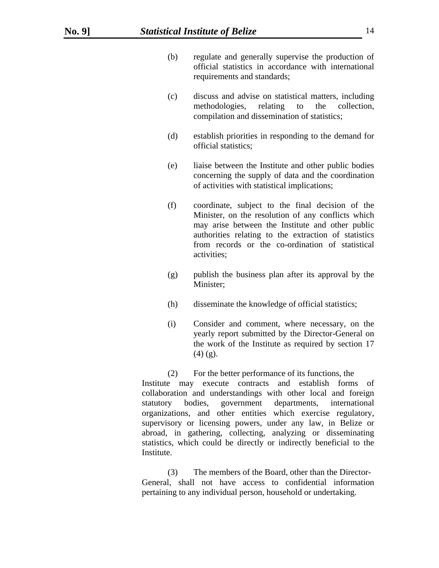- (b) regulate and generally supervise the production of official statistics in accordance with international requirements and standards;
- (c) discuss and advise on statistical matters, including methodologies, relating to the collection, compilation and dissemination of statistics;
- (d) establish priorities in responding to the demand for official statistics;
- (e) liaise between the Institute and other public bodies concerning the supply of data and the coordination of activities with statistical implications;
- (f) coordinate, subject to the final decision of the Minister, on the resolution of any conflicts which may arise between the Institute and other public authorities relating to the extraction of statistics from records or the co-ordination of statistical activities;
- (g) publish the business plan after its approval by the Minister;
- (h) disseminate the knowledge of official statistics;
- (i) Consider and comment, where necessary, on the yearly report submitted by the Director-General on the work of the Institute as required by section 17  $(4)$  (g).

(2) For the better performance of its functions, the Institute may execute contracts and establish forms of collaboration and understandings with other local and foreign statutory bodies, government departments, international organizations, and other entities which exercise regulatory, supervisory or licensing powers, under any law, in Belize or abroad, in gathering, collecting, analyzing or disseminating statistics, which could be directly or indirectly beneficial to the Institute.

(3) The members of the Board, other than the Director-General, shall not have access to confidential information pertaining to any individual person, household or undertaking.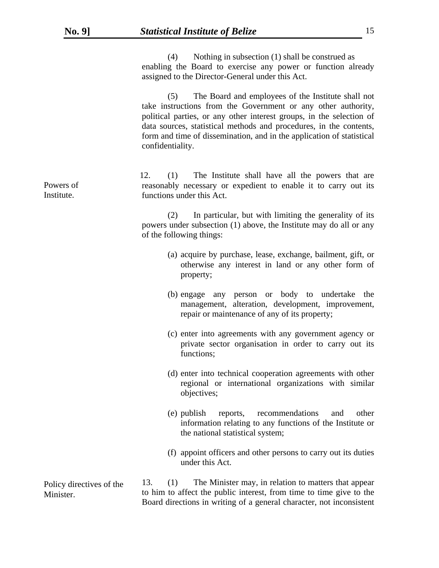|                          | Nothing in subsection (1) shall be construed as<br>(4)<br>enabling the Board to exercise any power or function already<br>assigned to the Director-General under this Act.                                                                                                                                                                                            |
|--------------------------|-----------------------------------------------------------------------------------------------------------------------------------------------------------------------------------------------------------------------------------------------------------------------------------------------------------------------------------------------------------------------|
|                          | The Board and employees of the Institute shall not<br>(5)<br>take instructions from the Government or any other authority,<br>political parties, or any other interest groups, in the selection of<br>data sources, statistical methods and procedures, in the contents,<br>form and time of dissemination, and in the application of statistical<br>confidentiality. |
| Powers of<br>Institute.  | 12.<br>The Institute shall have all the powers that are<br>(1)<br>reasonably necessary or expedient to enable it to carry out its<br>functions under this Act.                                                                                                                                                                                                        |
|                          | In particular, but with limiting the generality of its<br>(2)<br>powers under subsection (1) above, the Institute may do all or any<br>of the following things:                                                                                                                                                                                                       |
|                          | (a) acquire by purchase, lease, exchange, bailment, gift, or<br>otherwise any interest in land or any other form of<br>property;                                                                                                                                                                                                                                      |
|                          | (b) engage any person or body to undertake the<br>management, alteration, development, improvement,<br>repair or maintenance of any of its property;                                                                                                                                                                                                                  |
|                          | (c) enter into agreements with any government agency or<br>private sector organisation in order to carry out its<br>functions;                                                                                                                                                                                                                                        |
|                          | (d) enter into technical cooperation agreements with other<br>regional or international organizations with similar<br>objectives;                                                                                                                                                                                                                                     |
|                          | recommendations<br>other<br>(e) publish<br>reports,<br>and<br>information relating to any functions of the Institute or<br>the national statistical system;                                                                                                                                                                                                           |
|                          | (f) appoint officers and other persons to carry out its duties<br>under this Act.                                                                                                                                                                                                                                                                                     |
| Policy directives of the | 13.<br>The Minister may, in relation to matters that appear<br>(1)                                                                                                                                                                                                                                                                                                    |

Policy directives of the Minister.

to him to affect the public interest, from time to time give to the Board directions in writing of a general character, not inconsistent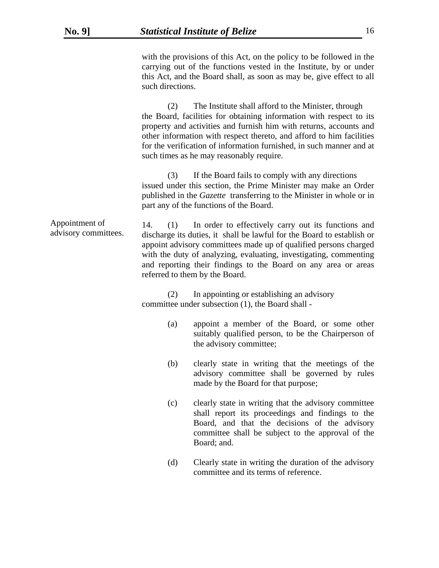with the provisions of this Act, on the policy to be followed in the carrying out of the functions vested in the Institute, by or under this Act, and the Board shall, as soon as may be, give effect to all such directions.

(2) The Institute shall afford to the Minister, through the Board, facilities for obtaining information with respect to its property and activities and furnish him with returns, accounts and other information with respect thereto, and afford to him facilities for the verification of information furnished, in such manner and at such times as he may reasonably require.

(3) If the Board fails to comply with any directions issued under this section, the Prime Minister may make an Order published in the *Gazette* transferring to the Minister in whole or in part any of the functions of the Board.

 14. (1) In order to effectively carry out its functions and discharge its duties, it shall be lawful for the Board to establish or appoint advisory committees made up of qualified persons charged with the duty of analyzing, evaluating, investigating, commenting and reporting their findings to the Board on any area or areas referred to them by the Board. Appointment of advisory committees.

> (2) In appointing or establishing an advisory committee under subsection (1), the Board shall -

- (a) appoint a member of the Board, or some other suitably qualified person, to be the Chairperson of the advisory committee;
- (b) clearly state in writing that the meetings of the advisory committee shall be governed by rules made by the Board for that purpose;
- (c) clearly state in writing that the advisory committee shall report its proceedings and findings to the Board, and that the decisions of the advisory committee shall be subject to the approval of the Board; and.
- (d) Clearly state in writing the duration of the advisory committee and its terms of reference.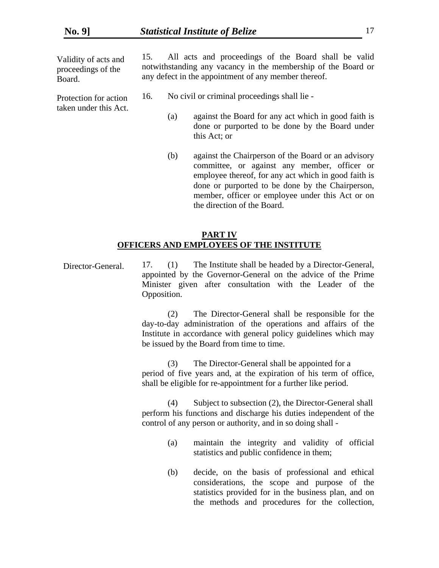Validity of acts and proceedings of the Board.

Protection for action taken under this Act.  15. All acts and proceedings of the Board shall be valid notwithstanding any vacancy in the membership of the Board or any defect in the appointment of any member thereof.

- 16. No civil or criminal proceedings shall lie
	- (a) against the Board for any act which in good faith is done or purported to be done by the Board under this Act; or
	- (b) against the Chairperson of the Board or an advisory committee, or against any member, officer or employee thereof, for any act which in good faith is done or purported to be done by the Chairperson, member, officer or employee under this Act or on the direction of the Board.

### **PART IV OFFICERS AND EMPLOYEES OF THE INSTITUTE**

 17. (1) The Institute shall be headed by a Director-General, appointed by the Governor-General on the advice of the Prime Minister given after consultation with the Leader of the Opposition. Director-General.

> (2) The Director-General shall be responsible for the day-to-day administration of the operations and affairs of the Institute in accordance with general policy guidelines which may be issued by the Board from time to time.

> (3) The Director-General shall be appointed for a period of five years and, at the expiration of his term of office, shall be eligible for re-appointment for a further like period.

> (4) Subject to subsection (2), the Director-General shall perform his functions and discharge his duties independent of the control of any person or authority, and in so doing shall -

- (a) maintain the integrity and validity of official statistics and public confidence in them;
- (b) decide, on the basis of professional and ethical considerations, the scope and purpose of the statistics provided for in the business plan, and on the methods and procedures for the collection,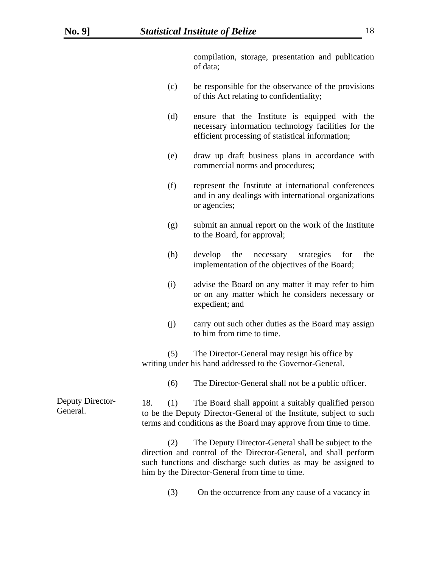compilation, storage, presentation and publication of data;

- (c) be responsible for the observance of the provisions of this Act relating to confidentiality;
- (d) ensure that the Institute is equipped with the necessary information technology facilities for the efficient processing of statistical information;
- (e) draw up draft business plans in accordance with commercial norms and procedures;
- (f) represent the Institute at international conferences and in any dealings with international organizations or agencies;
- (g) submit an annual report on the work of the Institute to the Board, for approval;
- (h) develop the necessary strategies for the implementation of the objectives of the Board;
- (i) advise the Board on any matter it may refer to him or on any matter which he considers necessary or expedient; and
- (j) carry out such other duties as the Board may assign to him from time to time.

(5) The Director-General may resign his office by writing under his hand addressed to the Governor-General.

(6) The Director-General shall not be a public officer.

 18. (1) The Board shall appoint a suitably qualified person to be the Deputy Director-General of the Institute, subject to such terms and conditions as the Board may approve from time to time. Deputy Director-General.

> (2) The Deputy Director-General shall be subject to the direction and control of the Director-General, and shall perform such functions and discharge such duties as may be assigned to him by the Director-General from time to time.

> > (3) On the occurrence from any cause of a vacancy in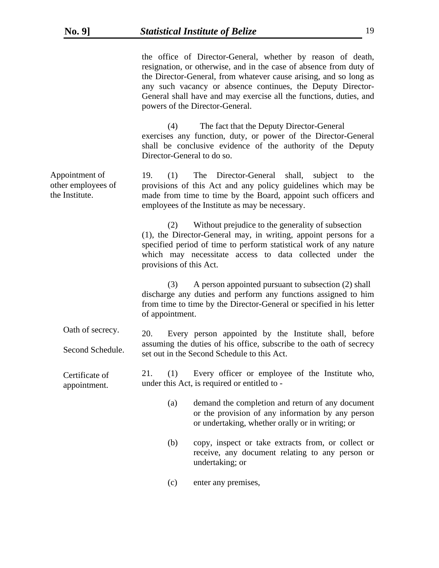| the office of Director-General, whether by reason of death,        |
|--------------------------------------------------------------------|
| resignation, or otherwise, and in the case of absence from duty of |
| the Director-General, from whatever cause arising, and so long as  |
| any such vacancy or absence continues, the Deputy Director-        |
| General shall have and may exercise all the functions, duties, and |
| powers of the Director-General.                                    |

(4) The fact that the Deputy Director-General exercises any function, duty, or power of the Director-General shall be conclusive evidence of the authority of the Deputy Director-General to do so.

 19. (1) The Director-General shall, subject to the provisions of this Act and any policy guidelines which may be made from time to time by the Board, appoint such officers and employees of the Institute as may be necessary. Appointment of other employees of the Institute.

> (2) Without prejudice to the generality of subsection (1), the Director-General may, in writing, appoint persons for a specified period of time to perform statistical work of any nature which may necessitate access to data collected under the provisions of this Act.

(3) A person appointed pursuant to subsection (2) shall discharge any duties and perform any functions assigned to him from time to time by the Director-General or specified in his letter of appointment.

 20. Every person appointed by the Institute shall, before assuming the duties of his office, subscribe to the oath of secrecy set out in the Second Schedule to this Act. Oath of secrecy. Second Schedule.

 21. (1) Every officer or employee of the Institute who, under this Act, is required or entitled to - Certificate of appointment.

- (a) demand the completion and return of any document or the provision of any information by any person or undertaking, whether orally or in writing; or
- (b) copy, inspect or take extracts from, or collect or receive, any document relating to any person or undertaking; or
- (c) enter any premises,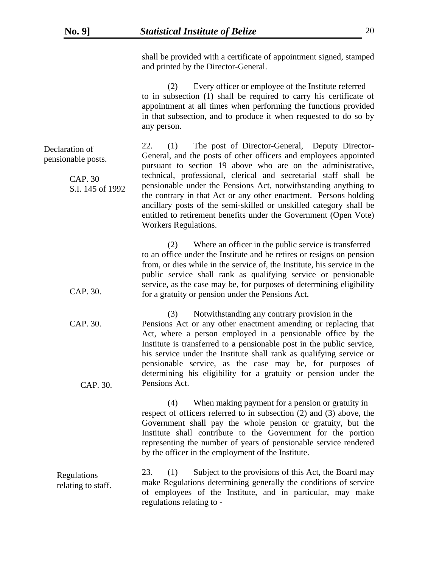CAP. 30.

shall be provided with a certificate of appointment signed, stamped and printed by the Director-General.

 (2) Every officer or employee of the Institute referred to in subsection (1) shall be required to carry his certificate of appointment at all times when performing the functions provided in that subsection, and to produce it when requested to do so by any person.

| Declaration of<br>pensionable posts. | (1) The post of Director-General, Deputy Director-<br>22.<br>General, and the posts of other officers and employees appointed                                                                                                                                                                                                                                             |
|--------------------------------------|---------------------------------------------------------------------------------------------------------------------------------------------------------------------------------------------------------------------------------------------------------------------------------------------------------------------------------------------------------------------------|
|                                      | pursuant to section 19 above who are on the administrative,                                                                                                                                                                                                                                                                                                               |
| CAP. 30<br>S.I. 145 of 1992          | technical, professional, clerical and secretarial staff shall be<br>pensionable under the Pensions Act, notwithstanding anything to<br>the contrary in that Act or any other enactment. Persons holding<br>ancillary posts of the semi-skilled or unskilled category shall be<br>entitled to retirement benefits under the Government (Open Vote)<br>Workers Regulations. |
|                                      |                                                                                                                                                                                                                                                                                                                                                                           |

(2) Where an officer in the public service is transferred to an office under the Institute and he retires or resigns on pension from, or dies while in the service of, the Institute, his service in the public service shall rank as qualifying service or pensionable service, as the case may be, for purposes of determining eligibility for a gratuity or pension under the Pensions Act.

 (3) Notwithstanding any contrary provision in the Pensions Act or any other enactment amending or replacing that Act, where a person employed in a pensionable office by the Institute is transferred to a pensionable post in the public service, his service under the Institute shall rank as qualifying service or pensionable service, as the case may be, for purposes of determining his eligibility for a gratuity or pension under the Pensions Act. CAP. 30. CAP. 30.

> (4) When making payment for a pension or gratuity in respect of officers referred to in subsection (2) and (3) above, the Government shall pay the whole pension or gratuity, but the Institute shall contribute to the Government for the portion representing the number of years of pensionable service rendered by the officer in the employment of the Institute.

 23. (1) Subject to the provisions of this Act, the Board may make Regulations determining generally the conditions of service of employees of the Institute, and in particular, may make regulations relating to - Regulations relating to staff.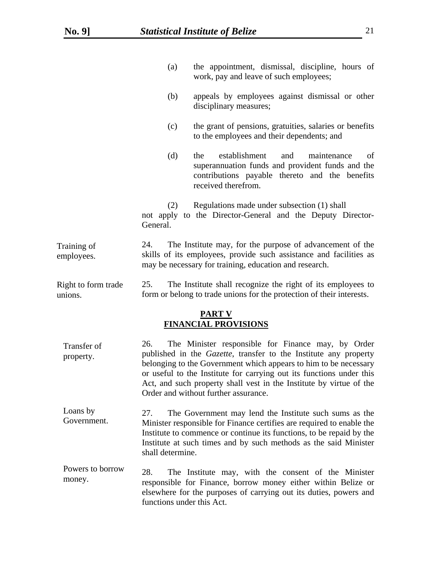|                                | (a)                              | the appointment, dismissal, discipline, hours of<br>work, pay and leave of such employees;                                                                                                                                                                                                                                                                                                |
|--------------------------------|----------------------------------|-------------------------------------------------------------------------------------------------------------------------------------------------------------------------------------------------------------------------------------------------------------------------------------------------------------------------------------------------------------------------------------------|
|                                | (b)                              | appeals by employees against dismissal or other<br>disciplinary measures;                                                                                                                                                                                                                                                                                                                 |
|                                | (c)                              | the grant of pensions, gratuities, salaries or benefits<br>to the employees and their dependents; and                                                                                                                                                                                                                                                                                     |
|                                | (d)                              | establishment<br>and<br>maintenance<br>the<br>of<br>superannuation funds and provident funds and the<br>contributions payable thereto and the benefits<br>received therefrom.                                                                                                                                                                                                             |
|                                | (2)<br>General.                  | Regulations made under subsection (1) shall<br>not apply to the Director-General and the Deputy Director-                                                                                                                                                                                                                                                                                 |
| Training of<br>employees.      | 24.                              | The Institute may, for the purpose of advancement of the<br>skills of its employees, provide such assistance and facilities as<br>may be necessary for training, education and research.                                                                                                                                                                                                  |
| Right to form trade<br>unions. | 25.                              | The Institute shall recognize the right of its employees to<br>form or belong to trade unions for the protection of their interests.                                                                                                                                                                                                                                                      |
|                                |                                  | <b>PART V</b><br><b>FINANCIAL PROVISIONS</b>                                                                                                                                                                                                                                                                                                                                              |
| Transfer of<br>property.       | 26.                              | The Minister responsible for Finance may, by Order<br>published in the <i>Gazette</i> , transfer to the Institute any property<br>belonging to the Government which appears to him to be necessary<br>or useful to the Institute for carrying out its functions under this<br>Act, and such property shall vest in the Institute by virtue of the<br>Order and without further assurance. |
| Loans by<br>Government.        | 27.<br>shall determine.          | The Government may lend the Institute such sums as the<br>Minister responsible for Finance certifies are required to enable the<br>Institute to commence or continue its functions, to be repaid by the<br>Institute at such times and by such methods as the said Minister                                                                                                               |
| Powers to borrow<br>money.     | 28.<br>functions under this Act. | The Institute may, with the consent of the Minister<br>responsible for Finance, borrow money either within Belize or<br>elsewhere for the purposes of carrying out its duties, powers and                                                                                                                                                                                                 |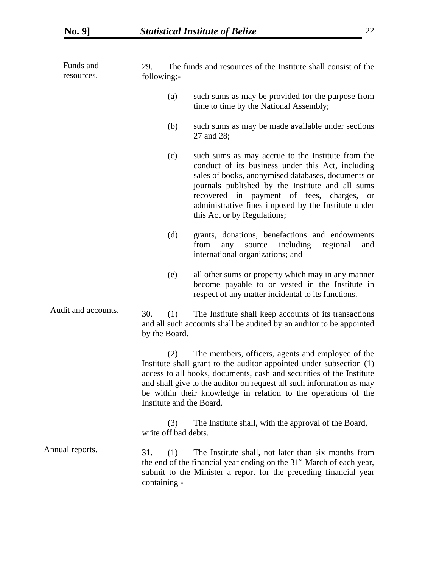| Funds and<br>resources. | 29.<br>following:-                                                                                                                                                                                                                                                                                                                                                            | The funds and resources of the Institute shall consist of the                                                                                                                                                                                                                                                                                       |  |  |
|-------------------------|-------------------------------------------------------------------------------------------------------------------------------------------------------------------------------------------------------------------------------------------------------------------------------------------------------------------------------------------------------------------------------|-----------------------------------------------------------------------------------------------------------------------------------------------------------------------------------------------------------------------------------------------------------------------------------------------------------------------------------------------------|--|--|
|                         | (a)                                                                                                                                                                                                                                                                                                                                                                           | such sums as may be provided for the purpose from<br>time to time by the National Assembly;                                                                                                                                                                                                                                                         |  |  |
|                         | (b)                                                                                                                                                                                                                                                                                                                                                                           | such sums as may be made available under sections<br>27 and 28;                                                                                                                                                                                                                                                                                     |  |  |
|                         | (c)                                                                                                                                                                                                                                                                                                                                                                           | such sums as may accrue to the Institute from the<br>conduct of its business under this Act, including<br>sales of books, anonymised databases, documents or<br>journals published by the Institute and all sums<br>recovered in payment of fees, charges, or<br>administrative fines imposed by the Institute under<br>this Act or by Regulations; |  |  |
|                         | (d)                                                                                                                                                                                                                                                                                                                                                                           | grants, donations, benefactions and endowments<br>from<br>including<br>source<br>regional<br>any<br>and<br>international organizations; and                                                                                                                                                                                                         |  |  |
|                         | (e)                                                                                                                                                                                                                                                                                                                                                                           | all other sums or property which may in any manner<br>become payable to or vested in the Institute in<br>respect of any matter incidental to its functions.                                                                                                                                                                                         |  |  |
| Audit and accounts.     | 30.<br>(1)<br>by the Board.                                                                                                                                                                                                                                                                                                                                                   | The Institute shall keep accounts of its transactions<br>and all such accounts shall be audited by an auditor to be appointed                                                                                                                                                                                                                       |  |  |
|                         | The members, officers, agents and employee of the<br>(2)<br>Institute shall grant to the auditor appointed under subsection (1)<br>access to all books, documents, cash and securities of the Institute<br>and shall give to the auditor on request all such information as may<br>be within their knowledge in relation to the operations of the<br>Institute and the Board. |                                                                                                                                                                                                                                                                                                                                                     |  |  |
|                         | (3)<br>write off bad debts.                                                                                                                                                                                                                                                                                                                                                   | The Institute shall, with the approval of the Board,                                                                                                                                                                                                                                                                                                |  |  |
| Annual reports.         | 31.<br>(1)<br>containing -                                                                                                                                                                                                                                                                                                                                                    | The Institute shall, not later than six months from<br>the end of the financial year ending on the 31 <sup>st</sup> March of each year,<br>submit to the Minister a report for the preceding financial year                                                                                                                                         |  |  |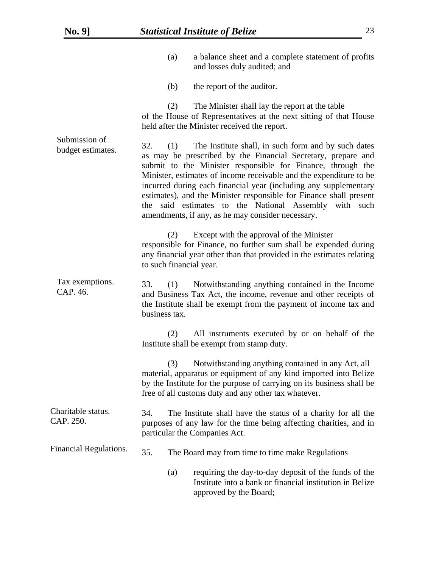|                                    |                                                                                                                                                                                                                                                                                                                                                                                                                                                                                                                                   | (a) | a balance sheet and a complete statement of profits<br>and losses duly audited; and                                                                                                                                                                      |
|------------------------------------|-----------------------------------------------------------------------------------------------------------------------------------------------------------------------------------------------------------------------------------------------------------------------------------------------------------------------------------------------------------------------------------------------------------------------------------------------------------------------------------------------------------------------------------|-----|----------------------------------------------------------------------------------------------------------------------------------------------------------------------------------------------------------------------------------------------------------|
|                                    |                                                                                                                                                                                                                                                                                                                                                                                                                                                                                                                                   | (b) | the report of the auditor.                                                                                                                                                                                                                               |
| Submission of<br>budget estimates. |                                                                                                                                                                                                                                                                                                                                                                                                                                                                                                                                   | (2) | The Minister shall lay the report at the table<br>of the House of Representatives at the next sitting of that House<br>held after the Minister received the report.                                                                                      |
|                                    | 32.<br>(1)<br>The Institute shall, in such form and by such dates<br>as may be prescribed by the Financial Secretary, prepare and<br>submit to the Minister responsible for Finance, through the<br>Minister, estimates of income receivable and the expenditure to be<br>incurred during each financial year (including any supplementary<br>estimates), and the Minister responsible for Finance shall present<br>said estimates to the National Assembly with such<br>the<br>amendments, if any, as he may consider necessary. |     |                                                                                                                                                                                                                                                          |
| Tax exemptions.<br>CAP. 46.        | to such financial year.                                                                                                                                                                                                                                                                                                                                                                                                                                                                                                           | (2) | Except with the approval of the Minister<br>responsible for Finance, no further sum shall be expended during<br>any financial year other than that provided in the estimates relating                                                                    |
|                                    | 33.<br>Notwithstanding anything contained in the Income<br>(1)<br>and Business Tax Act, the income, revenue and other receipts of<br>the Institute shall be exempt from the payment of income tax and<br>business tax.                                                                                                                                                                                                                                                                                                            |     |                                                                                                                                                                                                                                                          |
|                                    |                                                                                                                                                                                                                                                                                                                                                                                                                                                                                                                                   | (2) | All instruments executed by or on behalf of the<br>Institute shall be exempt from stamp duty.                                                                                                                                                            |
|                                    |                                                                                                                                                                                                                                                                                                                                                                                                                                                                                                                                   | (3) | Notwithstanding anything contained in any Act, all<br>material, apparatus or equipment of any kind imported into Belize<br>by the Institute for the purpose of carrying on its business shall be<br>free of all customs duty and any other tax whatever. |
| Charitable status.<br>CAP. 250.    | 34.                                                                                                                                                                                                                                                                                                                                                                                                                                                                                                                               |     | The Institute shall have the status of a charity for all the<br>purposes of any law for the time being affecting charities, and in<br>particular the Companies Act.                                                                                      |
| Financial Regulations.             | 35.                                                                                                                                                                                                                                                                                                                                                                                                                                                                                                                               |     | The Board may from time to time make Regulations                                                                                                                                                                                                         |
|                                    |                                                                                                                                                                                                                                                                                                                                                                                                                                                                                                                                   | (a) | requiring the day-to-day deposit of the funds of the<br>Institute into a bank or financial institution in Belize<br>approved by the Board;                                                                                                               |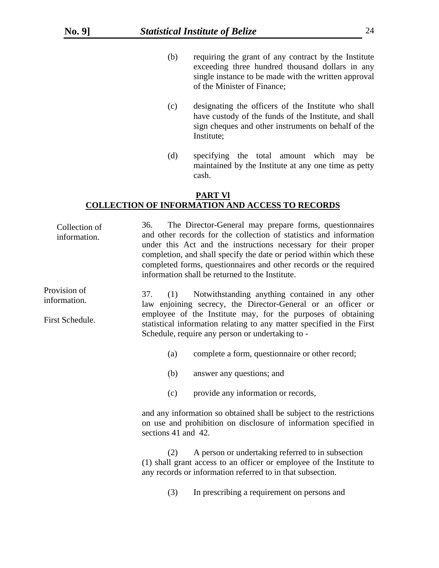- (b) requiring the grant of any contract by the Institute exceeding three hundred thousand dollars in any single instance to be made with the written approval of the Minister of Finance;
- (c) designating the officers of the Institute who shall have custody of the funds of the Institute, and shall sign cheques and other instruments on behalf of the Institute;
- (d) specifying the total amount which may be maintained by the Institute at any one time as petty cash.

# **PART Vl COLLECTION OF INFORMATION AND ACCESS TO RECORDS**

| Collection of<br>information.                   | 36.                 | The Director-General may prepare forms, questionnaires<br>and other records for the collection of statistics and information<br>under this Act and the instructions necessary for their proper<br>completion, and shall specify the date or period within which these<br>completed forms, questionnaires and other records or the required<br>information shall be returned to the Institute. |
|-------------------------------------------------|---------------------|-----------------------------------------------------------------------------------------------------------------------------------------------------------------------------------------------------------------------------------------------------------------------------------------------------------------------------------------------------------------------------------------------|
| Provision of<br>information.<br>First Schedule. | 37.<br>(1)          | Notwithstanding anything contained in any other<br>law enjoining secrecy, the Director-General or an officer or<br>employee of the Institute may, for the purposes of obtaining<br>statistical information relating to any matter specified in the First<br>Schedule, require any person or undertaking to -                                                                                  |
|                                                 | (a)                 | complete a form, questionnaire or other record;                                                                                                                                                                                                                                                                                                                                               |
|                                                 | (b)                 | answer any questions; and                                                                                                                                                                                                                                                                                                                                                                     |
|                                                 | (c)                 | provide any information or records,                                                                                                                                                                                                                                                                                                                                                           |
|                                                 | sections 41 and 42. | and any information so obtained shall be subject to the restrictions<br>on use and prohibition on disclosure of information specified in                                                                                                                                                                                                                                                      |
|                                                 | (2)                 | A person or undertaking referred to in subsection<br>(1) shall grant access to an officer or employee of the Institute to<br>any records or information referred to in that subsection.                                                                                                                                                                                                       |
|                                                 | (3)                 | In prescribing a requirement on persons and                                                                                                                                                                                                                                                                                                                                                   |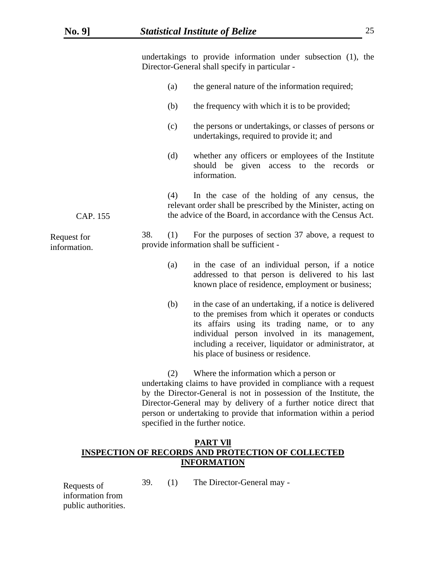undertakings to provide information under subsection (1), the Director-General shall specify in particular - (a) the general nature of the information required; (b) the frequency with which it is to be provided; (c) the persons or undertakings, or classes of persons or undertakings, required to provide it; and (d) whether any officers or employees of the Institute should be given access to the records or information. (4) In the case of the holding of any census, the relevant order shall be prescribed by the Minister, acting on the advice of the Board, in accordance with the Census Act. 38. (1) For the purposes of section 37 above, a request to provide information shall be sufficient - (a) in the case of an individual person, if a notice addressed to that person is delivered to his last known place of residence, employment or business; (b) in the case of an undertaking, if a notice is delivered to the premises from which it operates or conducts its affairs using its trading name, or to any individual person involved in its management, including a receiver, liquidator or administrator, at his place of business or residence. (2) Where the information which a person or undertaking claims to have provided in compliance with a request by the Director-General is not in possession of the Institute, the Director-General may by delivery of a further notice direct that person or undertaking to provide that information within a period specified in the further notice. **PART Vll INSPECTION OF RECORDS AND PROTECTION OF COLLECTED**  Request for information. CAP. 155

**INFORMATION**

39. (1) The Director-General may -

Requests of information from public authorities.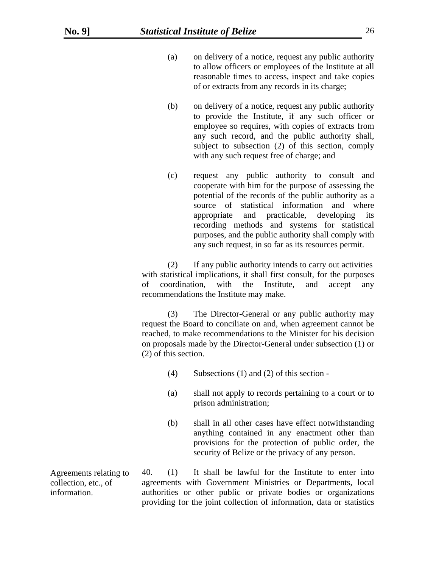- (a) on delivery of a notice, request any public authority to allow officers or employees of the Institute at all reasonable times to access, inspect and take copies of or extracts from any records in its charge;
- (b) on delivery of a notice, request any public authority to provide the Institute, if any such officer or employee so requires, with copies of extracts from any such record, and the public authority shall, subject to subsection (2) of this section, comply with any such request free of charge; and
- (c) request any public authority to consult and cooperate with him for the purpose of assessing the potential of the records of the public authority as a source of statistical information and where appropriate and practicable, developing its recording methods and systems for statistical purposes, and the public authority shall comply with any such request, in so far as its resources permit.

 (2) If any public authority intends to carry out activities with statistical implications, it shall first consult, for the purposes of coordination, with the Institute, and accept any recommendations the Institute may make.

(3) The Director-General or any public authority may request the Board to conciliate on and, when agreement cannot be reached, to make recommendations to the Minister for his decision on proposals made by the Director-General under subsection (1) or (2) of this section.

- (4) Subsections (1) and (2) of this section -
- (a) shall not apply to records pertaining to a court or to prison administration;
- (b) shall in all other cases have effect notwithstanding anything contained in any enactment other than provisions for the protection of public order, the security of Belize or the privacy of any person.

 40. (1) It shall be lawful for the Institute to enter into agreements with Government Ministries or Departments, local authorities or other public or private bodies or organizations providing for the joint collection of information, data or statistics

Agreements relating to collection, etc., of information.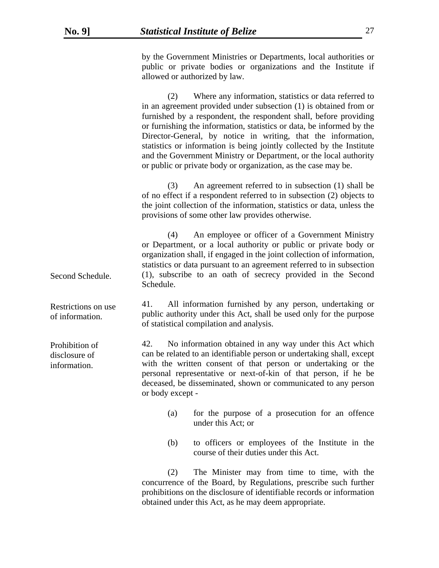Second Schedule.

of information.

Prohibition of disclosure of information.

by the Government Ministries or Departments, local authorities or public or private bodies or organizations and the Institute if allowed or authorized by law.

(2) Where any information, statistics or data referred to in an agreement provided under subsection (1) is obtained from or furnished by a respondent, the respondent shall, before providing or furnishing the information, statistics or data, be informed by the Director-General, by notice in writing, that the information, statistics or information is being jointly collected by the Institute and the Government Ministry or Department, or the local authority or public or private body or organization, as the case may be.

(3) An agreement referred to in subsection (1) shall be of no effect if a respondent referred to in subsection (2) objects to the joint collection of the information, statistics or data, unless the provisions of some other law provides otherwise.

(4) An employee or officer of a Government Ministry or Department, or a local authority or public or private body or organization shall, if engaged in the joint collection of information, statistics or data pursuant to an agreement referred to in subsection (1), subscribe to an oath of secrecy provided in the Second Schedule.

 41. All information furnished by any person, undertaking or public authority under this Act, shall be used only for the purpose of statistical compilation and analysis. Restrictions on use

> 42. No information obtained in any way under this Act which can be related to an identifiable person or undertaking shall, except with the written consent of that person or undertaking or the personal representative or next-of-kin of that person, if he be deceased, be disseminated, shown or communicated to any person or body except -

- (a) for the purpose of a prosecution for an offence under this Act; or
- (b) to officers or employees of the Institute in the course of their duties under this Act.

(2) The Minister may from time to time, with the concurrence of the Board, by Regulations, prescribe such further prohibitions on the disclosure of identifiable records or information obtained under this Act, as he may deem appropriate.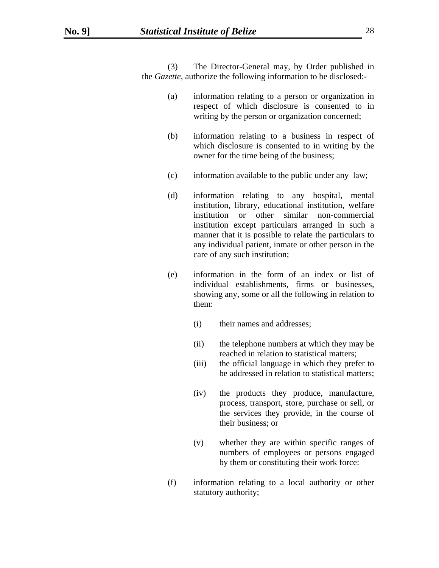(3) The Director-General may, by Order published in the *Gazette*, authorize the following information to be disclosed:-

- (a) information relating to a person or organization in respect of which disclosure is consented to in writing by the person or organization concerned;
- (b) information relating to a business in respect of which disclosure is consented to in writing by the owner for the time being of the business;
- (c) information available to the public under any law;
- (d) information relating to any hospital, mental institution, library, educational institution, welfare institution or other similar non-commercial institution except particulars arranged in such a manner that it is possible to relate the particulars to any individual patient, inmate or other person in the care of any such institution;
- (e) information in the form of an index or list of individual establishments, firms or businesses, showing any, some or all the following in relation to them:
	- (i) their names and addresses;
	- (ii) the telephone numbers at which they may be reached in relation to statistical matters;
	- (iii) the official language in which they prefer to be addressed in relation to statistical matters;
	- (iv) the products they produce, manufacture, process, transport, store, purchase or sell, or the services they provide, in the course of their business; or
	- (v) whether they are within specific ranges of numbers of employees or persons engaged by them or constituting their work force:
- (f) information relating to a local authority or other statutory authority;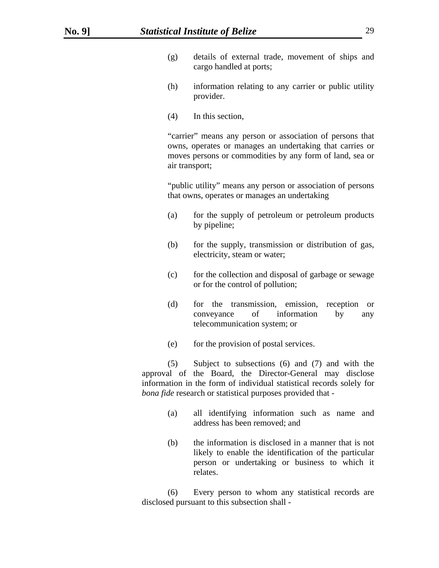- (g) details of external trade, movement of ships and cargo handled at ports;
- (h) information relating to any carrier or public utility provider.
- (4) In this section,

"carrier" means any person or association of persons that owns, operates or manages an undertaking that carries or moves persons or commodities by any form of land, sea or air transport;

"public utility" means any person or association of persons that owns, operates or manages an undertaking

- (a) for the supply of petroleum or petroleum products by pipeline;
- (b) for the supply, transmission or distribution of gas, electricity, steam or water;
- (c) for the collection and disposal of garbage or sewage or for the control of pollution;
- (d) for the transmission, emission, reception or conveyance of information by any telecommunication system; or
- (e) for the provision of postal services.

(5) Subject to subsections (6) and (7) and with the approval of the Board, the Director-General may disclose information in the form of individual statistical records solely for *bona fide* research or statistical purposes provided that -

- (a) all identifying information such as name and address has been removed; and
- (b) the information is disclosed in a manner that is not likely to enable the identification of the particular person or undertaking or business to which it relates.

(6) Every person to whom any statistical records are disclosed pursuant to this subsection shall -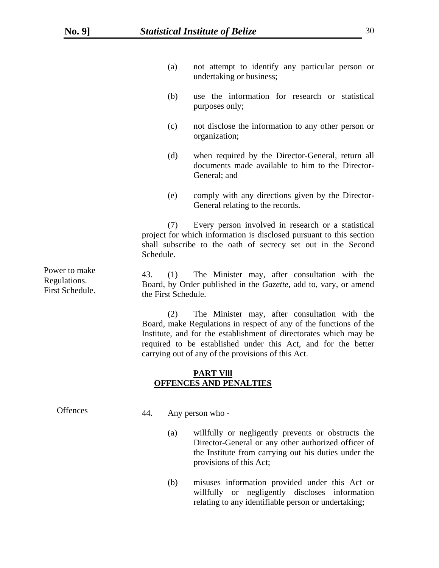- (a) not attempt to identify any particular person or undertaking or business;
- (b) use the information for research or statistical purposes only;
- (c) not disclose the information to any other person or organization;
- (d) when required by the Director-General, return all documents made available to him to the Director-General; and
- (e) comply with any directions given by the Director-General relating to the records.

 (7) Every person involved in research or a statistical project for which information is disclosed pursuant to this section shall subscribe to the oath of secrecy set out in the Second Schedule.

 43. (1) The Minister may, after consultation with the Board, by Order published in the *Gazette*, add to, vary, or amend the First Schedule.

(2) The Minister may, after consultation with the Board, make Regulations in respect of any of the functions of the Institute, and for the establishment of directorates which may be required to be established under this Act, and for the better carrying out of any of the provisions of this Act.

#### **PART Vlll OFFENCES AND PENALTIES**

| <b>Offences</b> | 44. | Any person who -                                                                                                                                                                                    |  |
|-----------------|-----|-----------------------------------------------------------------------------------------------------------------------------------------------------------------------------------------------------|--|
|                 |     | willfully or negligently prevents or obstructs the<br>(a)<br>Director-General or any other authorized officer of<br>the Institute from carrying out his duties under the<br>provisions of this Act; |  |

(b) misuses information provided under this Act or willfully or negligently discloses information relating to any identifiable person or undertaking;

Power to make Regulations. First Schedule.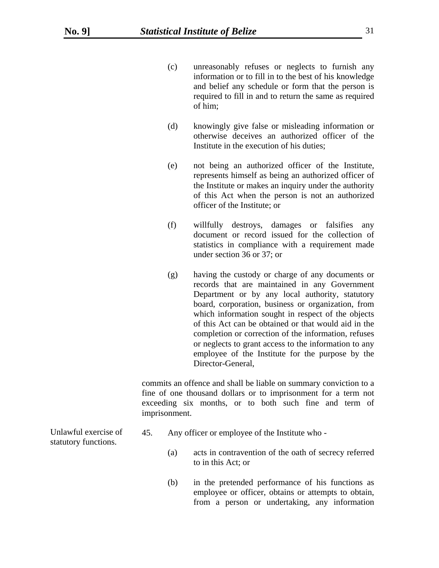- (c) unreasonably refuses or neglects to furnish any information or to fill in to the best of his knowledge and belief any schedule or form that the person is required to fill in and to return the same as required of him;
- (d) knowingly give false or misleading information or otherwise deceives an authorized officer of the Institute in the execution of his duties;
- (e) not being an authorized officer of the Institute, represents himself as being an authorized officer of the Institute or makes an inquiry under the authority of this Act when the person is not an authorized officer of the Institute; or
- (f) willfully destroys, damages or falsifies any document or record issued for the collection of statistics in compliance with a requirement made under section 36 or 37; or
- (g) having the custody or charge of any documents or records that are maintained in any Government Department or by any local authority, statutory board, corporation, business or organization, from which information sought in respect of the objects of this Act can be obtained or that would aid in the completion or correction of the information, refuses or neglects to grant access to the information to any employee of the Institute for the purpose by the Director-General,

commits an offence and shall be liable on summary conviction to a fine of one thousand dollars or to imprisonment for a term not exceeding six months, or to both such fine and term of imprisonment.

Unlawful exercise of statutory functions.

- 45. Any officer or employee of the Institute who
	- (a) acts in contravention of the oath of secrecy referred to in this Act; or
	- (b) in the pretended performance of his functions as employee or officer, obtains or attempts to obtain, from a person or undertaking, any information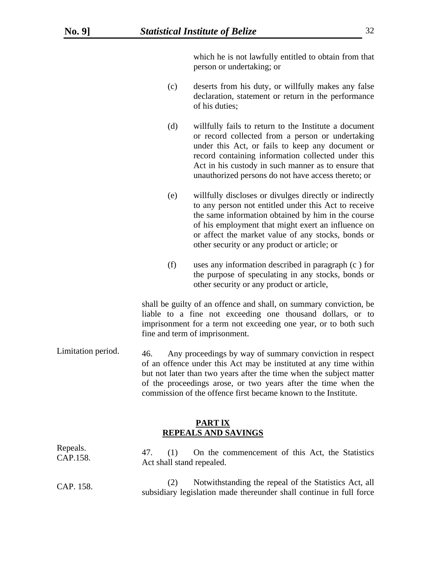which he is not lawfully entitled to obtain from that person or undertaking; or

- (c) deserts from his duty, or willfully makes any false declaration, statement or return in the performance of his duties;
- (d) willfully fails to return to the Institute a document or record collected from a person or undertaking under this Act, or fails to keep any document or record containing information collected under this Act in his custody in such manner as to ensure that unauthorized persons do not have access thereto; or
- (e) willfully discloses or divulges directly or indirectly to any person not entitled under this Act to receive the same information obtained by him in the course of his employment that might exert an influence on or affect the market value of any stocks, bonds or other security or any product or article; or
- (f) uses any information described in paragraph (c ) for the purpose of speculating in any stocks, bonds or other security or any product or article,

shall be guilty of an offence and shall, on summary conviction, be liable to a fine not exceeding one thousand dollars, or to imprisonment for a term not exceeding one year, or to both such fine and term of imprisonment.

 46. Any proceedings by way of summary conviction in respect of an offence under this Act may be instituted at any time within but not later than two years after the time when the subject matter of the proceedings arose, or two years after the time when the commission of the offence first became known to the Institute. Limitation period.

### **PART lX REPEALS AND SAVINGS**

| Repeals.<br>CAP.158. | On the commencement of this Act, the Statistics<br>47.<br>(1)<br>Act shall stand repealed.                                   |
|----------------------|------------------------------------------------------------------------------------------------------------------------------|
| CAP. 158.            | Notwithstanding the repeal of the Statistics Act, all<br>subsidiary legislation made thereunder shall continue in full force |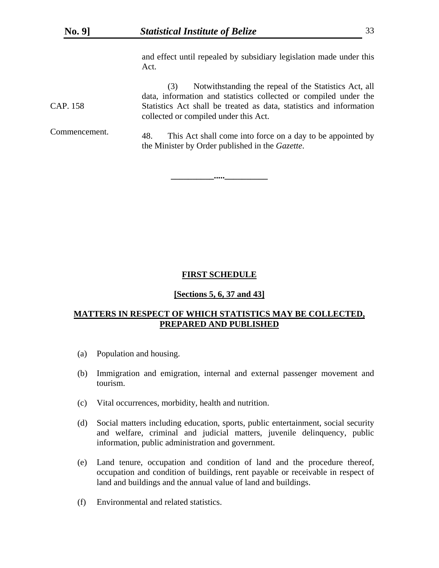and effect until repealed by subsidiary legislation made under this Act.

(3) Notwithstanding the repeal of the Statistics Act, all data, information and statistics collected or compiled under the Statistics Act shall be treated as data, statistics and information collected or compiled under this Act. CAP. 158

 48. This Act shall come into force on a day to be appointed by the Minister by Order published in the *Gazette*. Commencement.

**\_\_\_\_\_\_\_\_\_\_.....\_\_\_\_\_\_\_\_\_\_** 

#### **FIRST SCHEDULE**

#### **[Sections 5, 6, 37 and 43]**

# **MATTERS IN RESPECT OF WHICH STATISTICS MAY BE COLLECTED, PREPARED AND PUBLISHED**

- (a) Population and housing.
- (b) Immigration and emigration, internal and external passenger movement and tourism.
- (c) Vital occurrences, morbidity, health and nutrition.
- (d) Social matters including education, sports, public entertainment, social security and welfare, criminal and judicial matters, juvenile delinquency, public information, public administration and government.
- (e) Land tenure, occupation and condition of land and the procedure thereof, occupation and condition of buildings, rent payable or receivable in respect of land and buildings and the annual value of land and buildings.
- (f) Environmental and related statistics.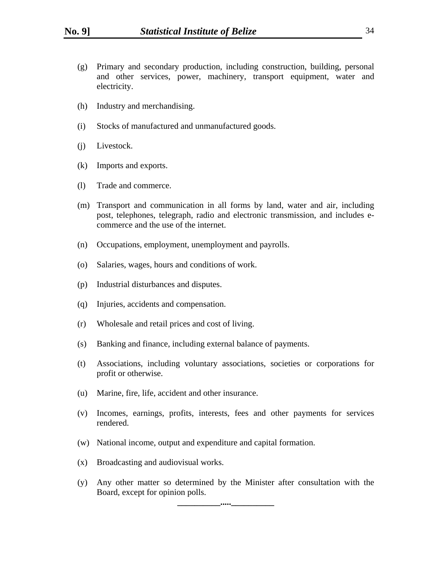- (g) Primary and secondary production, including construction, building, personal and other services, power, machinery, transport equipment, water and electricity.
- (h) Industry and merchandising.
- (i) Stocks of manufactured and unmanufactured goods.
- (j) Livestock.
- (k) Imports and exports.
- (l) Trade and commerce.
- (m) Transport and communication in all forms by land, water and air, including post, telephones, telegraph, radio and electronic transmission, and includes ecommerce and the use of the internet.
- (n) Occupations, employment, unemployment and payrolls.
- (o) Salaries, wages, hours and conditions of work.
- (p) Industrial disturbances and disputes.
- (q) Injuries, accidents and compensation.
- (r) Wholesale and retail prices and cost of living.
- (s) Banking and finance, including external balance of payments.
- (t) Associations, including voluntary associations, societies or corporations for profit or otherwise.
- (u) Marine, fire, life, accident and other insurance.
- (v) Incomes, earnings, profits, interests, fees and other payments for services rendered.
- (w) National income, output and expenditure and capital formation.
- (x) Broadcasting and audiovisual works.
- (y) Any other matter so determined by the Minister after consultation with the Board, except for opinion polls.

**\_\_\_\_\_\_\_\_\_\_.....\_\_\_\_\_\_\_\_\_\_**